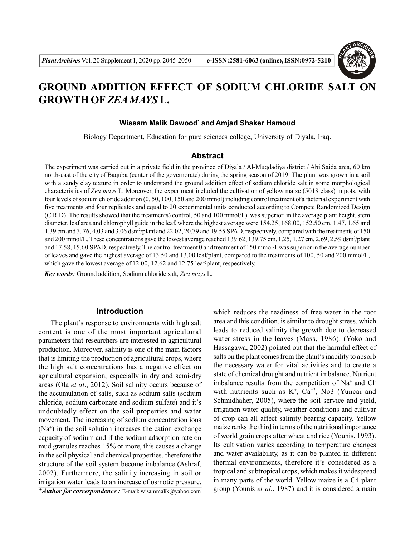

# **GROUND ADDITION EFFECT OF SODIUM CHLORIDE SALT ON GROWTH OF** *ZEA MAYS* **L.**

### **Wissam Malik Dawood\* and Amjad Shaker Hamoud**

Biology Department, Education for pure sciences college, University of Diyala, Iraq.

## **Abstract**

The experiment was carried out in a private field in the province of Diyala / Al-Muqdadiya district / Abi Saida area, 60 km north-east of the city of Baquba (center of the governorate) during the spring season of 2019. The plant was grown in a soil with a sandy clay texture in order to understand the ground addition effect of sodium chloride salt in some morphological characteristics of *Zea mays* L. Moreover, the experiment included the cultivation of yellow maize (5018 class) in pots, with four levels of sodium chloride addition (0, 50, 100, 150 and 200 mmol) including control treatment of a factorial experiment with five treatments and four replicates and equal to 20 experimental units conducted according to Compete Randomized Design (C.R.D). The results showed that the treatments) control, 50 and 100 mmol/L) was superior in the average plant height, stem diameter, leaf area and chlorophyll guide in the leaf, where the highest average were 154.25, 168.00, 152.50 cm, 1.47, 1.65 and 1.39 cm and 3. 76, 4.03 and 3.06 dsm<sup>2</sup> /plant and 22.02, 20.79 and 19.55 SPAD, respectively, compared with the treatments of 150 and 200 mmol/L. These concentrations gave the lowest average reached 139.62, 139.75 cm, 1.25, 1.27 cm, 2.69, 2.59 dsm<sup>2</sup>/plant and 17.58, 15.60 SPAD, respectively. The control treatment 0 and treatment of 150 mmol/L was superior in the average number of leaves and gave the highest average of 13.50 and 13.00 leaf/plant, compared to the treatments of 100, 50 and 200 mmol/L, which gave the lowest average of 12.00, 12.62 and 12.75 leaf/plant, respectively.

*Key words:* Ground addition, Sodium chloride salt, *Zea mays* L.

#### **Introduction**

The plant's response to environments with high salt content is one of the most important agricultural parameters that researchers are interested in agricultural production. Moreover, salinity is one of the main factors that is limiting the production of agricultural crops, where the high salt concentrations has a negative effect on agricultural expansion, especially in dry and semi-dry areas (Ola *et al*., 2012). Soil salinity occurs because of the accumulation of salts, such as sodium salts (sodium chloride, sodium carbonate and sodium sulfate) and it's undoubtedly effect on the soil properties and water movement. The increasing of sodium concentration ions (Na<sup>+</sup> ) in the soil solution increases the cation exchange capacity of sodium and if the sodium adsorption rate on mud granules reaches 15% or more, this causes a change in the soil physical and chemical properties, therefore the structure of the soil system become imbalance (Ashraf, 2002). Furthermore, the salinity increasing in soil or irrigation water leads to an increase of osmotic pressure,

*\*Author for correspondence :* E-mail: wisammalik@yahoo.com

which reduces the readiness of free water in the root area and this condition, is similar to drought stress, which leads to reduced salinity the growth due to decreased water stress in the leaves (Mass, 1986). (Yoko and Hassagawa, 2002) pointed out that the harmful effect of salts on the plant comes from the plant's inability to absorb the necessary water for vital activities and to create a state of chemical drought and nutrient imbalance. Nutrient imbalance results from the competition of Na<sup>+</sup> and Cl<sup>-</sup> with nutrients such as  $K^+$ ,  $Ca^{+2}$ , No3 (Yuncai and Schmidhaher, 2005), where the soil service and yield, irrigation water quality, weather conditions and cultivar of crop can all affect salinity bearing capacity. Yellow maize ranks the third in terms of the nutritional importance of world grain crops after wheat and rice (Younis, 1993). Its cultivation varies according to temperature changes and water availability, as it can be planted in different thermal environments, therefore it's considered as a tropical and subtropical crops, which makes it widespread in many parts of the world. Yellow maize is a C4 plant group (Younis *et al.*, 1987) and it is considered a main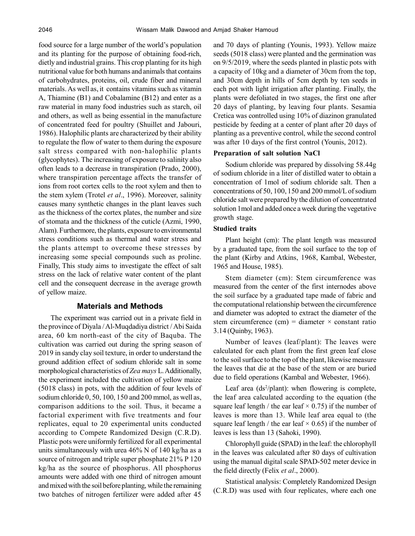food source for a large number of the world's population and its planting for the purpose of obtaining food-rich, dietly and industrial grains. This crop planting for its high nutritional value for both humans and animals that contains of carbohydrates, proteins, oil, crude fiber and mineral materials. As well as, it contains vitamins such as vitamin A, Thiamine (B1) and Cobalamine (B12) and enter as a raw material in many food industries such as starch, oil and others, as well as being essential in the manufacture of concentrated feed for poultry (Shuillet and Jabouri, 1986). Halophilic plants are characterized by their ability to regulate the flow of water to them during the exposure salt stress compared with non-halophilic plants (glycophytes). The increasing of exposure to salinity also often leads to a decrease in transpiration (Prado, 2000), where transpiration percentage affects the transfer of ions from root cortex cells to the root xylem and then to the stem xylem (Trotel *et al*., 1996). Moreover, salinity causes many synthetic changes in the plant leaves such as the thickness of the cortex plates, the number and size of stomata and the thickness of the cuticle (Azmi, 1990, Alam). Furthermore, the plants, exposure to environmental stress conditions such as thermal and water stress and the plants attempt to overcome these stresses by increasing some special compounds such as proline. Finally, This study aims to investigate the effect of salt stress on the lack of relative water content of the plant cell and the consequent decrease in the average growth of yellow maize.

## **Materials and Methods**

The experiment was carried out in a private field in the province of Diyala / Al-Muqdadiya district / Abi Saida area, 60 km north-east of the city of Baquba. The cultivation was carried out during the spring season of 2019 in sandy clay soil texture, in order to understand the ground addition effect of sodium chloride salt in some morphological characteristics of *Zea mays* L. Additionally, the experiment included the cultivation of yellow maize (5018 class) in pots, with the addition of four levels of sodium chloride 0, 50, 100, 150 and 200 mmol, as well as, comparison additions to the soil. Thus, it became a factorial experiment with five treatments and four replicates, equal to 20 experimental units conducted according to Compete Randomized Design (C.R.D). Plastic pots were uniformly fertilized for all experimental units simultaneously with urea 46% N of 140 kg/ha as a source of nitrogen and triple super phosphate 21% P 120 kg/ha as the source of phosphorus. All phosphorus amounts were added with one third of nitrogen amount and mixed with the soil before planting, while the remaining two batches of nitrogen fertilizer were added after 45

and 70 days of planting (Younis, 1993). Yellow maize seeds (5018 class) were planted and the germination was on 9/5/2019, where the seeds planted in plastic pots with a capacity of 10kg and a diameter of 30cm from the top, and 30cm depth in hills of 5cm depth by ten seeds in each pot with light irrigation after planting. Finally, the plants were defoliated in two stages, the first one after 20 days of planting, by leaving four plants. Sesamia Cretica was controlled using 10% of diazinon granulated pesticide by feeding at a center of plant after 20 days of planting as a preventive control, while the second control was after 10 days of the first control (Younis, 2012).

#### **Preparation of salt solution NaCl**

Sodium chloride was prepared by dissolving 58.44g of sodium chloride in a liter of distilled water to obtain a concentration of 1mol of sodium chloride salt. Then a concentrations of 50, 100, 150 and 200 mmol/L of sodium chloride salt were prepared by the dilution of concentrated solution 1mol and added once a week during the vegetative growth stage.

#### **Studied traits**

Plant height (cm): The plant length was measured by a graduated tape, from the soil surface to the top of the plant (Kirby and Atkins, 1968, Kambal, Webester, 1965 and House, 1985).

Stem diameter (cm): Stem circumference was measured from the center of the first internodes above the soil surface by a graduated tape made of fabric and the computational relationship between the circumference and diameter was adopted to extract the diameter of the stem circumference (cm) = diameter  $\times$  constant ratio 3.14 (Quinby, 1963).

Number of leaves (leaf/plant): The leaves were calculated for each plant from the first green leaf close to the soil surface to the top of the plant, likewise measure the leaves that die at the base of the stem or are buried due to field operations (Kambal and Webester, 1966).

Leaf area  $(ds^2\prime$ plant): when flowering is complete, the leaf area calculated according to the equation (the square leaf length / the ear leaf  $\times$  0.75) if the number of leaves is more than 13. While leaf area equal to (the square leaf length / the ear leaf  $\times$  0.65) if the number of leaves is less than 13 (Sahoki, 1990).

Chlorophyll guide (SPAD) in the leaf: the chlorophyll in the leaves was calculated after 80 days of cultivation using the manual digital scale SPAD-502 meter device in the field directly (Felix *et al*., 2000).

Statistical analysis: Completely Randomized Design (C.R.D) was used with four replicates, where each one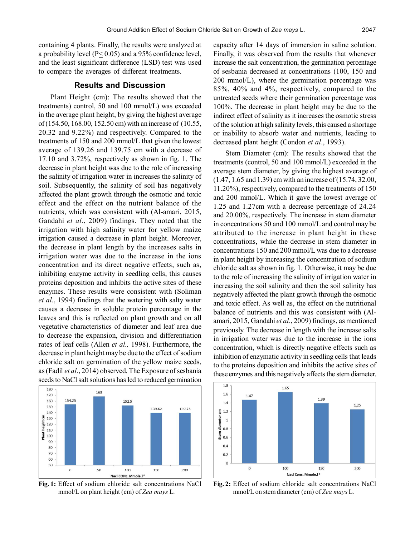containing 4 plants. Finally, the results were analyzed at a probability level ( $P \le 0.05$ ) and a 95% confidence level, and the least significant difference (LSD) test was used to compare the averages of different treatments.

# **Results and Discussion**

Plant Height (cm): The results showed that the treatments) control, 50 and 100 mmol/L) was exceeded in the average plant height, by giving the highest average of (154.50, 168.00, 152.50 cm) with an increase of (10.55, 20.32 and 9.22%) and respectively. Compared to the treatments of 150 and 200 mmol/L that given the lowest average of 139.26 and 139.75 cm with a decrease of 17.10 and 3.72%, respectively as shown in fig. 1. The decrease in plant height was due to the role of increasing the salinity of irrigation water in increases the salinity of soil. Subsequently, the salinity of soil has negatively affected the plant growth through the osmotic and toxic effect and the effect on the nutrient balance of the nutrients, which was consistent with (Al-amari, 2015, Gandahi *et al*., 2009) findings. They noted that the irrigation with high salinity water for yellow maize irrigation caused a decrease in plant height. Moreover, the decrease in plant length by the increases salts in irrigation water was due to the increase in the ions concentration and its direct negative effects, such as, inhibiting enzyme activity in seedling cells, this causes proteins deposition and inhibits the active sites of these enzymes. These results were consistent with (Soliman *et al.*, 1994) findings that the watering with salty water causes a decrease in soluble protein percentage in the leaves and this is reflected on plant growth and on all vegetative characteristics of diameter and leaf area due to decrease the expansion, division and differentiation rates of leaf cells (Allen *et al.,* 1998). Furthermore, the decrease in plant height may be due to the effect of sodium chloride salt on germination of the yellow maize seeds, as (Fadil *et al*., 2014) observed. The Exposure of sesbania seeds to NaCl salt solutions has led to reduced germination



**Fig. 1:** Effect of sodium chloride salt concentrations NaCl mmol/L on plant height (cm) of *Zea mays* L.

capacity after 14 days of immersion in saline solution. Finally, it was observed from the results that whenever increase the salt concentration, the germination percentage of sesbania decreased at concentrations (100, 150 and 200 mmol/L), where the germination percentage was 85%, 40% and 4%, respectively, compared to the untreated seeds where their germination percentage was 100%. The decrease in plant height may be due to the indirect effect of salinity as it increases the osmotic stress of the solution at high salinity levels, this caused a shortage or inability to absorb water and nutrients, leading to decreased plant height (Condon *et al*., 1993).

Stem Diameter (cm): The results showed that the treatments (control, 50 and 100 mmol/L) exceeded in the average stem diameter, by giving the highest average of (1.47, 1.65 and 1.39) cm with an increase of (15.74, 32.00, 11.20%), respectively, compared to the treatments of 150 and 200 mmol/L. Which it gave the lowest average of 1.25 and 1.27cm with a decrease percentage of 24.24 and 20.00%, respectively. The increase in stem diameter in concentrations 50 and 100 mmol/L and control may be attributed to the increase in plant height in these concentrations, while the decrease in stem diameter in concentrations 150 and 200 mmol/L was due to a decrease in plant height by increasing the concentration of sodium chloride salt as shown in fig. 1. Otherwise, it may be due to the role of increasing the salinity of irrigation water in increasing the soil salinity and then the soil salinity has negatively affected the plant growth through the osmotic and toxic effect. As well as, the effect on the nutritional balance of nutrients and this was consistent with (Alamari, 2015, Gandahi *et al.*, 2009) findings, as mentioned previously. The decrease in length with the increase salts in irrigation water was due to the increase in the ions concentration, which is directly negative effects such as inhibition of enzymatic activity in seedling cells that leads to the proteins deposition and inhibits the active sites of these enzymes and this negatively affects the stem diameter.



**Fig. 2:** Effect of sodium chloride salt concentrations NaCl mmol/L on stem diameter (cm) of *Zea mays* L.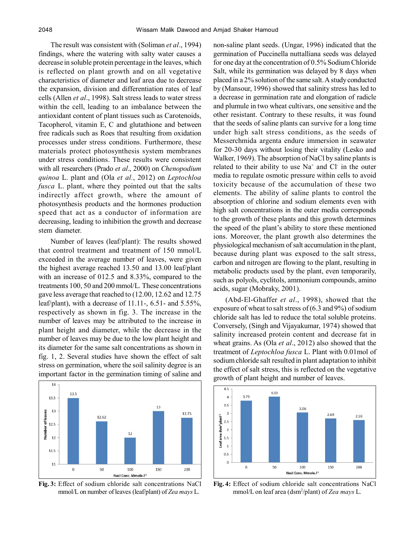The result was consistent with (Soliman *et al*., 1994) findings, where the watering with salty water causes a decrease in soluble protein percentage in the leaves, which is reflected on plant growth and on all vegetative characteristics of diameter and leaf area due to decrease the expansion, division and differentiation rates of leaf cells (Allen *et al*., 1998). Salt stress leads to water stress within the cell, leading to an imbalance between the antioxidant content of plant tissues such as Carotenoids, Tacopherol, vitamin E, C and glutathione and between free radicals such as Roes that resulting from oxidation processes under stress conditions. Furthermore, these materials protect photosynthesis system membranes under stress conditions. These results were consistent with all researchers (Prado *et al*., 2000) on *Chenopodium quinoa* L. plant and (Ola *et al.*, 2012) on *Leptochloa fusca* L. plant, where they pointed out that the salts indirectly affect growth, where the amount of photosynthesis products and the hormones production speed that act as a conductor of information are decreasing, leading to inhibition the growth and decrease stem diameter.

Number of leaves (leaf/plant): The results showed that control treatment and treatment of 150 mmol/L exceeded in the average number of leaves, were given the highest average reached 13.50 and 13.00 leaf/plant with an increase of 012.5 and 8.33%, compared to the treatments 100, 50 and 200 mmol/L. These concentrations gave less average that reached to (12.00, 12.62 and 12.75 leaf/plant), with a decrease of 11.11-, 6.51- and 5.55%, respectively as shown in fig. 3. The increase in the number of leaves may be attributed to the increase in plant height and diameter, while the decrease in the number of leaves may be due to the low plant height and its diameter for the same salt concentrations as shown in fig. 1, 2. Several studies have shown the effect of salt stress on germination, where the soil salinity degree is an important factor in the germination timing of saline and



**Fig. 3:** Effect of sodium chloride salt concentrations NaCl mmol/L on number of leaves (leaf/plant) of *Zea mays* L.

non-saline plant seeds. (Ungar, 1996) indicated that the germination of Puccinella nuttalliana seeds was delayed for one day at the concentration of 0.5% Sodium Chloride Salt, while its germination was delayed by 8 days when placed in a 2% solution of the same salt. A study conducted by (Mansour, 1996) showed that salinity stress has led to a decrease in germination rate and elongation of radicle and plumule in two wheat cultivars, one sensitive and the other resistant. Contrary to these results, it was found that the seeds of saline plants can survive for a long time under high salt stress conditions, as the seeds of Messerchmida argenta endure immersion in seawater for 20-30 days without losing their vitality (Lesko and Walker, 1969). The absorption of NaCl by saline plants is related to their ability to use  $Na<sup>+</sup>$  and Cl in the outer media to regulate osmotic pressure within cells to avoid toxicity because of the accumulation of these two elements. The ability of saline plants to control the absorption of chlorine and sodium elements even with high salt concentrations in the outer media corresponds to the growth of these plants and this growth determines the speed of the plant's ability to store these mentioned ions. Moreover, the plant growth also determines the physiological mechanism of salt accumulation in the plant, because during plant was exposed to the salt stress, carbon and nitrogen are flowing to the plant, resulting in metabolic products used by the plant, even temporarily, such as polyols, cyclitols, ammonium compounds, amino acids, sugar (Mobraky, 2001).

(Abd-El-Ghaffer *et al*., 1998), showed that the exposure of wheat to salt stress of (6.3 and 9%) of sodium chloride salt has led to reduce the total soluble proteins. Conversely, (Singh and Vijayakumar, 1974) showed that salinity increased protein content and decrease fat in wheat grains. As (Ola *et al*., 2012) also showed that the treatment of *Leptochloa fusca* L. Plant with 0.01mol of sodium chloride salt resulted in plant adaptation to inhibit the effect of salt stress, this is reflected on the vegetative growth of plant height and number of leaves.



**Fig. 4:** Effect of sodium chloride salt concentrations NaCl mmol/L on leaf area (dsm<sup>2</sup> /plant) of *Zea mays* L.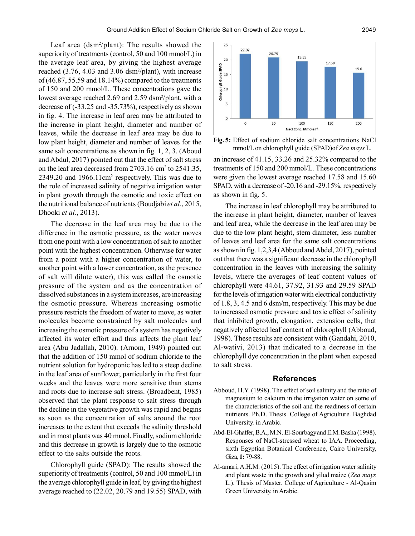Leaf area (dsm<sup>2</sup> /plant): The results showed the superiority of treatments (control, 50 and 100 mmol/L) in the average leaf area, by giving the highest average reached (3.76, 4.03 and 3.06 dsm<sup>2</sup> /plant), with increase of (46.87, 55.59 and 18.14%) compared to the treatments of 150 and 200 mmol/L. These concentrations gave the lowest average reached 2.69 and 2.59 dsm<sup>2</sup>/plant, with a decrease of (-33.25 and -35.73%), respectively as shown in fig. 4. The increase in leaf area may be attributed to the increase in plant height, diameter and number of leaves, while the decrease in leaf area may be due to low plant height, diameter and number of leaves for the same salt concentrations as shown in fig. 1, 2, 3. (Aboud and Abdul, 2017) pointed out that the effect of salt stress on the leaf area decreased from 2703.16 cm<sup>2</sup> to 2541.35, 2349.20 and 1966.11cm<sup>2</sup> respectively. This was due to the role of increased salinity of negative irrigation water in plant growth through the osmotic and toxic effect on the nutritional balance of nutrients (Boudjabi *et al*., 2015, Dhooki *et al*., 2013).

The decrease in the leaf area may be due to the difference in the osmotic pressure, as the water moves from one point with a low concentration of salt to another point with the highest concentration. Otherwise for water from a point with a higher concentration of water, to another point with a lower concentration, as the presence of salt will dilute water), this was called the osmotic pressure of the system and as the concentration of dissolved substances in a system increases, are increasing the osmotic pressure. Whereas increasing osmotic pressure restricts the freedom of water to move, as water molecules become constrained by salt molecules and increasing the osmotic pressure of a system has negatively affected its water effort and thus affects the plant leaf area (Abu Jadallah, 2010). (Arnom, 1949) pointed out that the addition of 150 mmol of sodium chloride to the nutrient solution for hydroponic has led to a steep decline in the leaf area of sunflower, particularly in the first four weeks and the leaves were more sensitive than stems and roots due to increase salt stress. (Broadbent, 1985) observed that the plant response to salt stress through the decline in the vegetative growth was rapid and begins as soon as the concentration of salts around the root increases to the extent that exceeds the salinity threshold and in most plants was 40 mmol. Finally, sodium chloride and this decrease in growth is largely due to the osmotic effect to the salts outside the roots.

Chlorophyll guide (SPAD): The results showed the superiority of treatments (control, 50 and 100 mmol/L) in the average chlorophyll guide in leaf, by giving the highest average reached to (22.02, 20.79 and 19.55) SPAD, with



**Fig. 5:** Effect of sodium chloride salt concentrations NaCl mmol/L on chlorophyll guide (SPAD)of *Zea mays* L.

an increase of 41.15, 33.26 and 25.32% compared to the treatments of 150 and 200 mmol/L. These concentrations were given the lowest average reached 17.58 and 15.60 SPAD, with a decrease of -20.16 and -29.15%, respectively as shown in fig. 5.

The increase in leaf chlorophyll may be attributed to the increase in plant height, diameter, number of leaves and leaf area, while the decrease in the leaf area may be due to the low plant height, stem diameter, less number of leaves and leaf area for the same salt concentrations as shown in fig. 1,2,3,4 (Abboud and Abdel, 2017), pointed out that there was a significant decrease in the chlorophyll concentration in the leaves with increasing the salinity levels, where the averages of leaf content values of chlorophyll were 44.61, 37.92, 31.93 and 29.59 SPAD for the levels of irrigation water with electrical conductivity of 1.8, 3, 4.5 and 6 dsm/m, respectively. This may be due to increased osmotic pressure and toxic effect of salinity that inhibited growth, elongation, extension cells, that negatively affected leaf content of chlorophyll (Abboud, 1998). These results are consistent with (Gandahi, 2010, Al-wativi, 2013) that indicated to a decrease in the chlorophyll dye concentration in the plant when exposed to salt stress.

## **References**

- Abboud, H.Y. (1998). The effect of soil salinity and the ratio of magnesium to calcium in the irrigation water on some of the characteristics of the soil and the readiness of certain nutrients. Ph.D. Thesis. College of Agriculture. Baghdad University. in Arabic.
- Abd-El-Ghaffer, B.A., M.N. El-Sourbagy and E.M. Basha (1998). Responses of NaCl-stressed wheat to IAA. Proceeding, sixth Egyptian Botanical Conference, Cairo University, Giza, **1:** 79-88.
- Al-amari, A.H.M. (2015). The effect of irrigation water salinity and plant waste in the growth and yilud maize (*Zea mays* L.). Thesis of Master. College of Agriculture - Al-Qasim Green University. in Arabic.